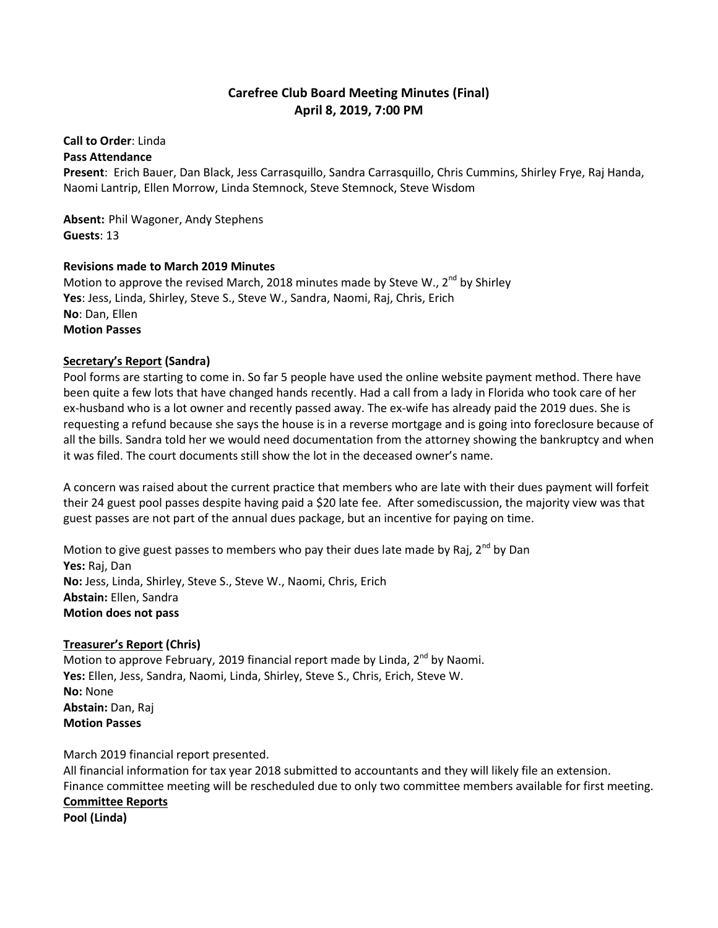# **Carefree Club Board Meeting Minutes (Final) April 8, 2019, 7:00 PM**

#### **Call to Order**: Linda **Pass Attendance**

**Present**: Erich Bauer, Dan Black, Jess Carrasquillo, Sandra Carrasquillo, Chris Cummins, Shirley Frye, Raj Handa, Naomi Lantrip, Ellen Morrow, Linda Stemnock, Steve Stemnock, Steve Wisdom

**Absent:** Phil Wagoner, Andy Stephens **Guests**: 13

# **Revisions made to March 2019 Minutes**

Motion to approve the revised March, 2018 minutes made by Steve W., 2<sup>nd</sup> by Shirley **Yes**: Jess, Linda, Shirley, Steve S., Steve W., Sandra, Naomi, Raj, Chris, Erich **No**: Dan, Ellen **Motion Passes**

# **Secretary's Report (Sandra)**

Pool forms are starting to come in. So far 5 people have used the online website payment method. There have been quite a few lots that have changed hands recently. Had a call from a lady in Florida who took care of her ex-husband who is a lot owner and recently passed away. The ex-wife has already paid the 2019 dues. She is requesting a refund because she says the house is in a reverse mortgage and is going into foreclosure because of all the bills. Sandra told her we would need documentation from the attorney showing the bankruptcy and when it was filed. The court documents still show the lot in the deceased owner's name.

A concern was raised about the current practice that members who are late with their dues payment will forfeit their 24 guest pool passes despite having paid a \$20 late fee. After somediscussion, the majority view was that guest passes are not part of the annual dues package, but an incentive for paying on time.

Motion to give guest passes to members who pay their dues late made by Raj,  $2^{nd}$  by Dan **Yes:** Raj, Dan **No:** Jess, Linda, Shirley, Steve S., Steve W., Naomi, Chris, Erich **Abstain:** Ellen, Sandra **Motion does not pass**

## **Treasurer's Report (Chris)**

Motion to approve February, 2019 financial report made by Linda,  $2^{nd}$  by Naomi. **Yes:** Ellen, Jess, Sandra, Naomi, Linda, Shirley, Steve S., Chris, Erich, Steve W. **No:** None **Abstain:** Dan, Raj **Motion Passes**

March 2019 financial report presented.

All financial information for tax year 2018 submitted to accountants and they will likely file an extension. Finance committee meeting will be rescheduled due to only two committee members available for first meeting. **Committee Reports Pool (Linda)**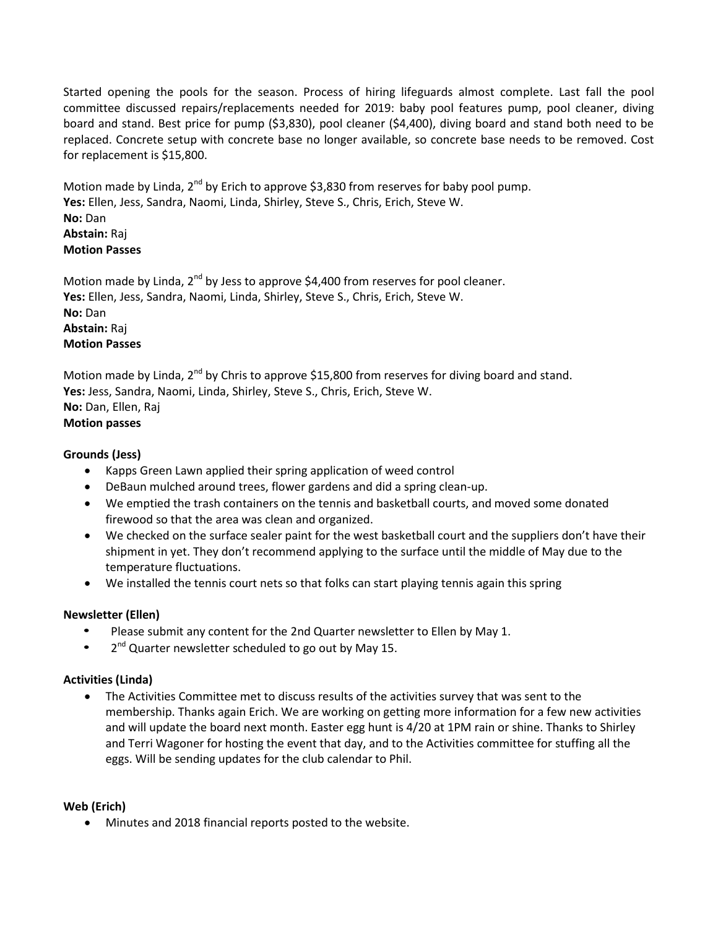Started opening the pools for the season. Process of hiring lifeguards almost complete. Last fall the pool committee discussed repairs/replacements needed for 2019: baby pool features pump, pool cleaner, diving board and stand. Best price for pump (\$3,830), pool cleaner (\$4,400), diving board and stand both need to be replaced. Concrete setup with concrete base no longer available, so concrete base needs to be removed. Cost for replacement is \$15,800.

Motion made by Linda,  $2^{nd}$  by Erich to approve \$3,830 from reserves for baby pool pump. **Yes:** Ellen, Jess, Sandra, Naomi, Linda, Shirley, Steve S., Chris, Erich, Steve W. **No:** Dan **Abstain:** Raj **Motion Passes**

Motion made by Linda,  $2^{nd}$  by Jess to approve \$4,400 from reserves for pool cleaner. **Yes:** Ellen, Jess, Sandra, Naomi, Linda, Shirley, Steve S., Chris, Erich, Steve W. **No:** Dan **Abstain:** Raj **Motion Passes**

Motion made by Linda, 2<sup>nd</sup> by Chris to approve \$15,800 from reserves for diving board and stand. **Yes:** Jess, Sandra, Naomi, Linda, Shirley, Steve S., Chris, Erich, Steve W. **No:** Dan, Ellen, Raj **Motion passes**

# **Grounds (Jess)**

- Kapps Green Lawn applied their spring application of weed control
- DeBaun mulched around trees, flower gardens and did a spring clean-up.
- We emptied the trash containers on the tennis and basketball courts, and moved some donated firewood so that the area was clean and organized.
- We checked on the surface sealer paint for the west basketball court and the suppliers don't have their shipment in yet. They don't recommend applying to the surface until the middle of May due to the temperature fluctuations.
- We installed the tennis court nets so that folks can start playing tennis again this spring

## **Newsletter (Ellen)**

- Please submit any content for the 2nd Quarter newsletter to Ellen by May 1.
- 2<sup>nd</sup> Quarter newsletter scheduled to go out by May 15.

#### **Activities (Linda)**

 The Activities Committee met to discuss results of the activities survey that was sent to the membership. Thanks again Erich. We are working on getting more information for a few new activities and will update the board next month. Easter egg hunt is 4/20 at 1PM rain or shine. Thanks to Shirley and Terri Wagoner for hosting the event that day, and to the Activities committee for stuffing all the eggs. Will be sending updates for the club calendar to Phil.

## **Web (Erich)**

Minutes and 2018 financial reports posted to the website.